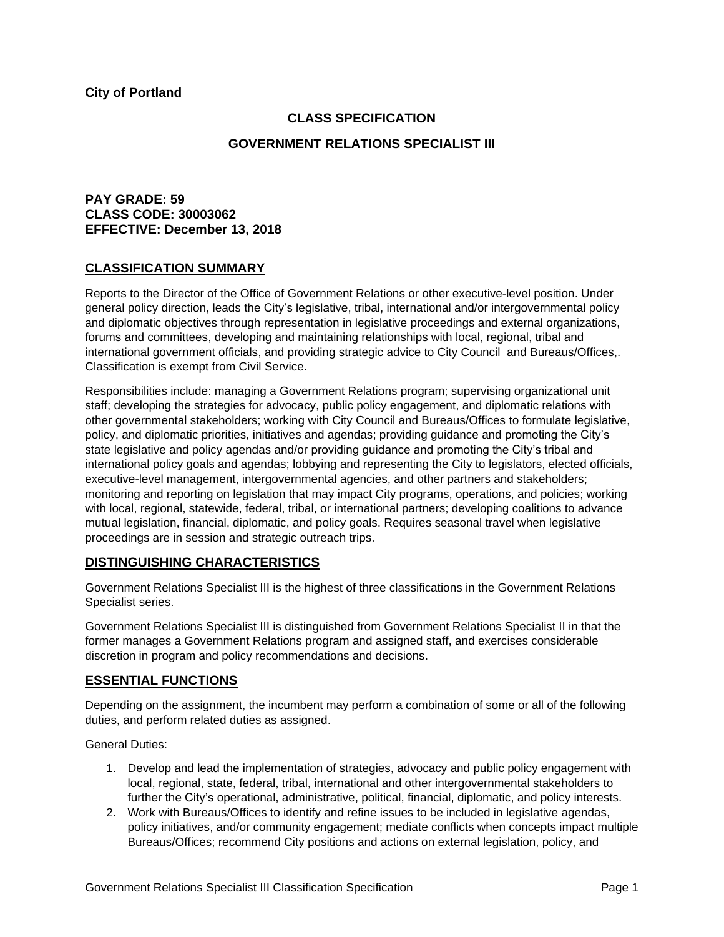## **CLASS SPECIFICATION**

### **GOVERNMENT RELATIONS SPECIALIST III**

# **PAY GRADE: 59 CLASS CODE: 30003062 EFFECTIVE: December 13, 2018**

## **CLASSIFICATION SUMMARY**

Reports to the Director of the Office of Government Relations or other executive-level position. Under general policy direction, leads the City's legislative, tribal, international and/or intergovernmental policy and diplomatic objectives through representation in legislative proceedings and external organizations, forums and committees, developing and maintaining relationships with local, regional, tribal and international government officials, and providing strategic advice to City Council and Bureaus/Offices,. Classification is exempt from Civil Service.

Responsibilities include: managing a Government Relations program; supervising organizational unit staff; developing the strategies for advocacy, public policy engagement, and diplomatic relations with other governmental stakeholders; working with City Council and Bureaus/Offices to formulate legislative, policy, and diplomatic priorities, initiatives and agendas; providing guidance and promoting the City's state legislative and policy agendas and/or providing guidance and promoting the City's tribal and international policy goals and agendas; lobbying and representing the City to legislators, elected officials, executive-level management, intergovernmental agencies, and other partners and stakeholders; monitoring and reporting on legislation that may impact City programs, operations, and policies; working with local, regional, statewide, federal, tribal, or international partners; developing coalitions to advance mutual legislation, financial, diplomatic, and policy goals. Requires seasonal travel when legislative proceedings are in session and strategic outreach trips.

### **DISTINGUISHING CHARACTERISTICS**

Government Relations Specialist III is the highest of three classifications in the Government Relations Specialist series.

Government Relations Specialist III is distinguished from Government Relations Specialist II in that the former manages a Government Relations program and assigned staff, and exercises considerable discretion in program and policy recommendations and decisions.

# **ESSENTIAL FUNCTIONS**

Depending on the assignment, the incumbent may perform a combination of some or all of the following duties, and perform related duties as assigned.

General Duties:

- 1. Develop and lead the implementation of strategies, advocacy and public policy engagement with local, regional, state, federal, tribal, international and other intergovernmental stakeholders to further the City's operational, administrative, political, financial, diplomatic, and policy interests.
- 2. Work with Bureaus/Offices to identify and refine issues to be included in legislative agendas, policy initiatives, and/or community engagement; mediate conflicts when concepts impact multiple Bureaus/Offices; recommend City positions and actions on external legislation, policy, and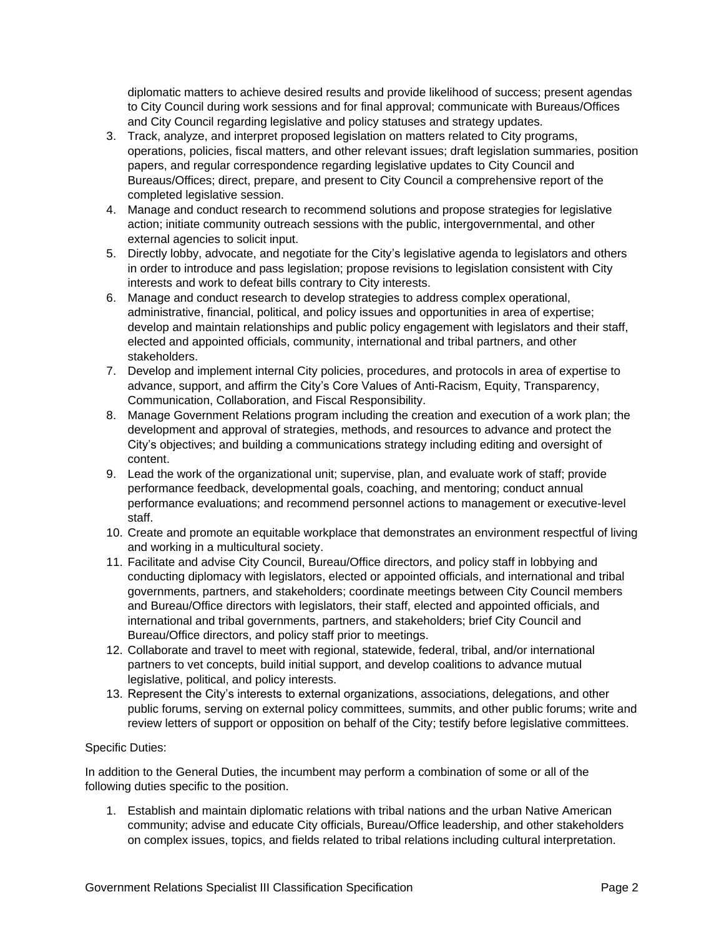diplomatic matters to achieve desired results and provide likelihood of success; present agendas to City Council during work sessions and for final approval; communicate with Bureaus/Offices and City Council regarding legislative and policy statuses and strategy updates.

- 3. Track, analyze, and interpret proposed legislation on matters related to City programs, operations, policies, fiscal matters, and other relevant issues; draft legislation summaries, position papers, and regular correspondence regarding legislative updates to City Council and Bureaus/Offices; direct, prepare, and present to City Council a comprehensive report of the completed legislative session.
- 4. Manage and conduct research to recommend solutions and propose strategies for legislative action; initiate community outreach sessions with the public, intergovernmental, and other external agencies to solicit input.
- 5. Directly lobby, advocate, and negotiate for the City's legislative agenda to legislators and others in order to introduce and pass legislation; propose revisions to legislation consistent with City interests and work to defeat bills contrary to City interests.
- 6. Manage and conduct research to develop strategies to address complex operational, administrative, financial, political, and policy issues and opportunities in area of expertise; develop and maintain relationships and public policy engagement with legislators and their staff, elected and appointed officials, community, international and tribal partners, and other stakeholders.
- 7. Develop and implement internal City policies, procedures, and protocols in area of expertise to advance, support, and affirm the City's Core Values of Anti-Racism, Equity, Transparency, Communication, Collaboration, and Fiscal Responsibility.
- 8. Manage Government Relations program including the creation and execution of a work plan; the development and approval of strategies, methods, and resources to advance and protect the City's objectives; and building a communications strategy including editing and oversight of content.
- 9. Lead the work of the organizational unit; supervise, plan, and evaluate work of staff; provide performance feedback, developmental goals, coaching, and mentoring; conduct annual performance evaluations; and recommend personnel actions to management or executive-level staff.
- 10. Create and promote an equitable workplace that demonstrates an environment respectful of living and working in a multicultural society.
- 11. Facilitate and advise City Council, Bureau/Office directors, and policy staff in lobbying and conducting diplomacy with legislators, elected or appointed officials, and international and tribal governments, partners, and stakeholders; coordinate meetings between City Council members and Bureau/Office directors with legislators, their staff, elected and appointed officials, and international and tribal governments, partners, and stakeholders; brief City Council and Bureau/Office directors, and policy staff prior to meetings.
- 12. Collaborate and travel to meet with regional, statewide, federal, tribal, and/or international partners to vet concepts, build initial support, and develop coalitions to advance mutual legislative, political, and policy interests.
- 13. Represent the City's interests to external organizations, associations, delegations, and other public forums, serving on external policy committees, summits, and other public forums; write and review letters of support or opposition on behalf of the City; testify before legislative committees.

### Specific Duties:

In addition to the General Duties, the incumbent may perform a combination of some or all of the following duties specific to the position.

1. Establish and maintain diplomatic relations with tribal nations and the urban Native American community; advise and educate City officials, Bureau/Office leadership, and other stakeholders on complex issues, topics, and fields related to tribal relations including cultural interpretation.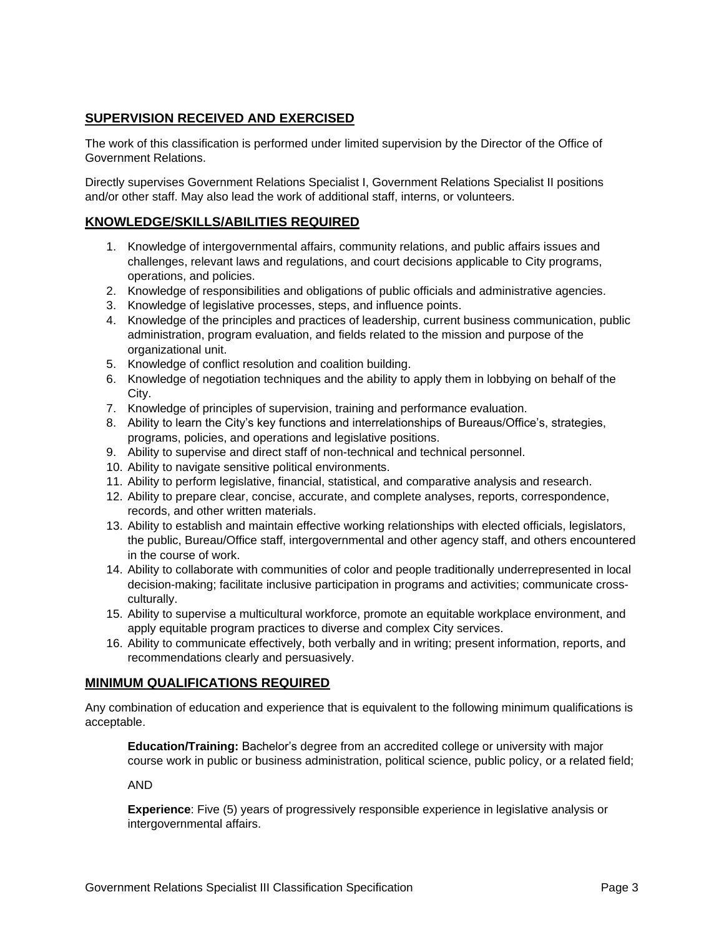# **SUPERVISION RECEIVED AND EXERCISED**

The work of this classification is performed under limited supervision by the Director of the Office of Government Relations.

Directly supervises Government Relations Specialist I, Government Relations Specialist II positions and/or other staff. May also lead the work of additional staff, interns, or volunteers.

### **KNOWLEDGE/SKILLS/ABILITIES REQUIRED**

- 1. Knowledge of intergovernmental affairs, community relations, and public affairs issues and challenges, relevant laws and regulations, and court decisions applicable to City programs, operations, and policies.
- 2. Knowledge of responsibilities and obligations of public officials and administrative agencies.
- 3. Knowledge of legislative processes, steps, and influence points.
- 4. Knowledge of the principles and practices of leadership, current business communication, public administration, program evaluation, and fields related to the mission and purpose of the organizational unit.
- 5. Knowledge of conflict resolution and coalition building.
- 6. Knowledge of negotiation techniques and the ability to apply them in lobbying on behalf of the City.
- 7. Knowledge of principles of supervision, training and performance evaluation.
- 8. Ability to learn the City's key functions and interrelationships of Bureaus/Office's, strategies, programs, policies, and operations and legislative positions.
- 9. Ability to supervise and direct staff of non-technical and technical personnel.
- 10. Ability to navigate sensitive political environments.
- 11. Ability to perform legislative, financial, statistical, and comparative analysis and research.
- 12. Ability to prepare clear, concise, accurate, and complete analyses, reports, correspondence, records, and other written materials.
- 13. Ability to establish and maintain effective working relationships with elected officials, legislators, the public, Bureau/Office staff, intergovernmental and other agency staff, and others encountered in the course of work.
- 14. Ability to collaborate with communities of color and people traditionally underrepresented in local decision-making; facilitate inclusive participation in programs and activities; communicate crossculturally.
- 15. Ability to supervise a multicultural workforce, promote an equitable workplace environment, and apply equitable program practices to diverse and complex City services.
- 16. Ability to communicate effectively, both verbally and in writing; present information, reports, and recommendations clearly and persuasively.

### **MINIMUM QUALIFICATIONS REQUIRED**

Any combination of education and experience that is equivalent to the following minimum qualifications is acceptable.

**Education/Training:** Bachelor's degree from an accredited college or university with major course work in public or business administration, political science, public policy, or a related field;

AND

**Experience**: Five (5) years of progressively responsible experience in legislative analysis or intergovernmental affairs.